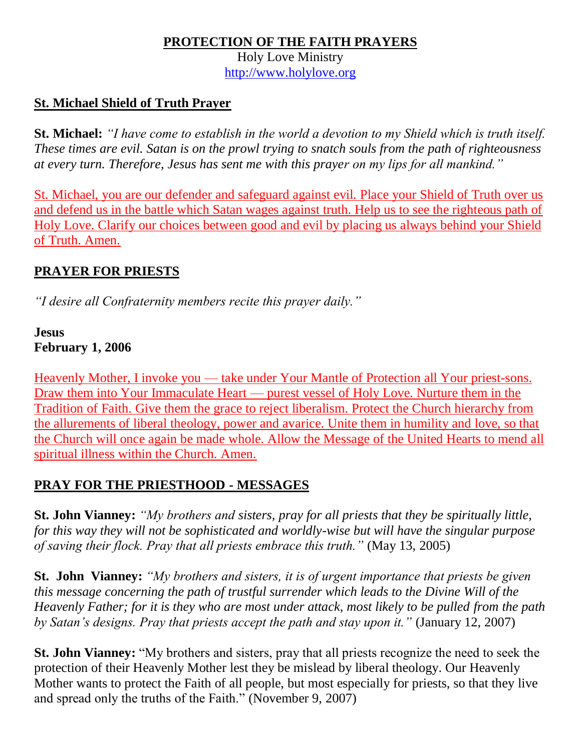### **PROTECTION OF THE FAITH PRAYERS**

Holy Love Ministry [http://www.holylove.org](http://www.holylove.org/)

## **St. Michael Shield of Truth Prayer**

**St. Michael:** *"I have come to establish in the world a devotion to my Shield which is truth itself. These times are evil. Satan is on the prowl trying to snatch souls from the path of righteousness at every turn. Therefore, Jesus has sent me with this prayer on my lips for all mankind."*

St. Michael, you are our defender and safeguard against evil. Place your Shield of Truth over us and defend us in the battle which Satan wages against truth. Help us to see the righteous path of Holy Love. Clarify our choices between good and evil by placing us always behind your Shield of Truth. Amen.

## **PRAYER FOR PRIESTS**

*"I desire all Confraternity members recite this prayer daily."*

#### **Jesus February 1, 2006**

Heavenly Mother, I invoke you — take under Your Mantle of Protection all Your priest-sons. Draw them into Your Immaculate Heart — purest vessel of Holy Love. Nurture them in the Tradition of Faith. Give them the grace to reject liberalism. Protect the Church hierarchy from the allurements of liberal theology, power and avarice. Unite them in humility and love, so that the Church will once again be made whole. Allow the Message of the United Hearts to mend all spiritual illness within the Church. Amen.

## **PRAY FOR THE PRIESTHOOD - MESSAGES**

**St. John Vianney:** *"My brothers and sisters, pray for all priests that they be spiritually little, for this way they will not be sophisticated and worldly-wise but will have the singular purpose of saving their flock. Pray that all priests embrace this truth."* (May 13, 2005)

**St. John Vianney:** *"My brothers and sisters, it is of urgent importance that priests be given this message concerning the path of trustful surrender which leads to the Divine Will of the Heavenly Father; for it is they who are most under attack, most likely to be pulled from the path by Satan's designs. Pray that priests accept the path and stay upon it."* (January 12, 2007)

**St. John Vianney:** "My brothers and sisters, pray that all priests recognize the need to seek the protection of their Heavenly Mother lest they be mislead by liberal theology. Our Heavenly Mother wants to protect the Faith of all people, but most especially for priests, so that they live and spread only the truths of the Faith." (November 9, 2007)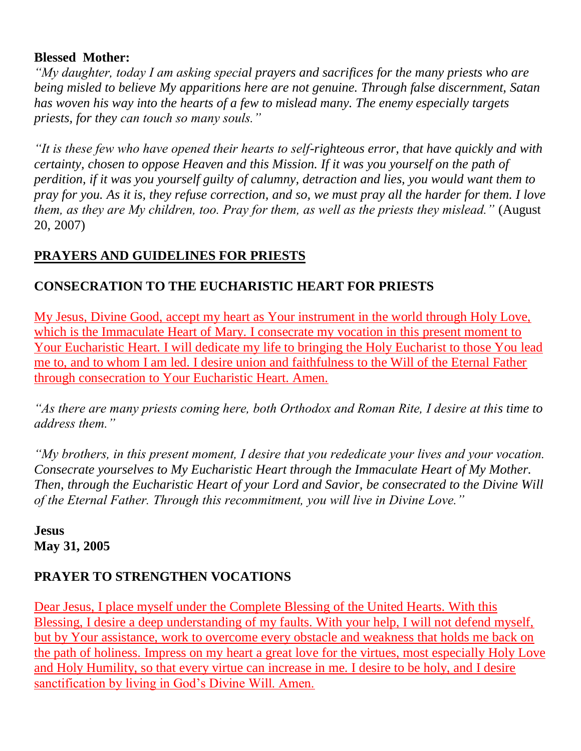#### **Blessed Mother:**

*"My daughter, today I am asking special prayers and sacrifices for the many priests who are being misled to believe My apparitions here are not genuine. Through false discernment, Satan has woven his way into the hearts of a few to mislead many. The enemy especially targets priests, for they can touch so many souls."*

*"It is these few who have opened their hearts to self-righteous error, that have quickly and with certainty, chosen to oppose Heaven and this Mission. If it was you yourself on the path of perdition, if it was you yourself guilty of calumny, detraction and lies, you would want them to pray for you. As it is, they refuse correction, and so, we must pray all the harder for them. I love them, as they are My children, too. Pray for them, as well as the priests they mislead."* (August 20, 2007)

### **PRAYERS AND GUIDELINES FOR PRIESTS**

### **CONSECRATION TO THE EUCHARISTIC HEART FOR PRIESTS**

My Jesus, Divine Good, accept my heart as Your instrument in the world through Holy Love, which is the Immaculate Heart of Mary. I consecrate my vocation in this present moment to Your Eucharistic Heart. I will dedicate my life to bringing the Holy Eucharist to those You lead me to, and to whom I am led. I desire union and faithfulness to the Will of the Eternal Father through consecration to Your Eucharistic Heart. Amen.

*"As there are many priests coming here, both Orthodox and Roman Rite, I desire at this time to address them."*

*"My brothers, in this present moment, I desire that you rededicate your lives and your vocation. Consecrate yourselves to My Eucharistic Heart through the Immaculate Heart of My Mother. Then, through the Eucharistic Heart of your Lord and Savior, be consecrated to the Divine Will of the Eternal Father. Through this recommitment, you will live in Divine Love."*

**Jesus May 31, 2005**

#### **PRAYER TO STRENGTHEN VOCATIONS**

Dear Jesus, I place myself under the Complete Blessing of the United Hearts. With this Blessing, I desire a deep understanding of my faults. With your help, I will not defend myself, but by Your assistance, work to overcome every obstacle and weakness that holds me back on the path of holiness. Impress on my heart a great love for the virtues, most especially Holy Love and Holy Humility, so that every virtue can increase in me. I desire to be holy, and I desire sanctification by living in God's Divine Will. Amen.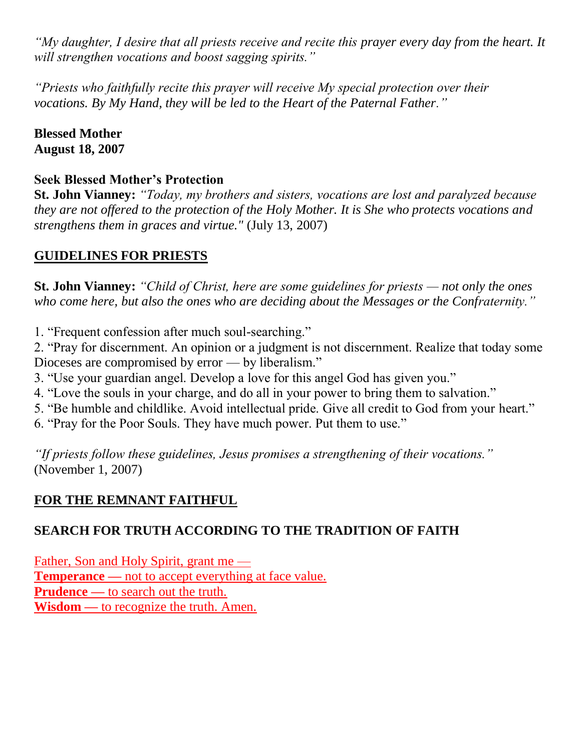*"My daughter, I desire that all priests receive and recite this prayer every day from the heart. It will strengthen vocations and boost sagging spirits."*

*"Priests who faithfully recite this prayer will receive My special protection over their vocations. By My Hand, they will be led to the Heart of the Paternal Father."*

**Blessed Mother August 18, 2007**

#### **Seek Blessed Mother's Protection**

**St. John Vianney:** *"Today, my brothers and sisters, vocations are lost and paralyzed because they are not offered to the protection of the Holy Mother. It is She who protects vocations and strengthens them in graces and virtue."* (July 13, 2007)

## **GUIDELINES FOR PRIESTS**

**St. John Vianney:** *"Child of Christ, here are some guidelines for priests — not only the ones who come here, but also the ones who are deciding about the Messages or the Confraternity."*

1. "Frequent confession after much soul-searching."

2. "Pray for discernment. An opinion or a judgment is not discernment. Realize that today some Dioceses are compromised by error — by liberalism."

- 3. "Use your guardian angel. Develop a love for this angel God has given you."
- 4. "Love the souls in your charge, and do all in your power to bring them to salvation."
- 5. "Be humble and childlike. Avoid intellectual pride. Give all credit to God from your heart."
- 6. "Pray for the Poor Souls. They have much power. Put them to use."

*"If priests follow these guidelines, Jesus promises a strengthening of their vocations."* (November 1, 2007)

# **FOR THE REMNANT FAITHFUL**

## **SEARCH FOR TRUTH ACCORDING TO THE TRADITION OF FAITH**

Father, Son and Holy Spirit, grant me — **Temperance** — not to accept everything at face value. **Prudence —** to search out the truth. Wisdom — to recognize the truth. Amen.